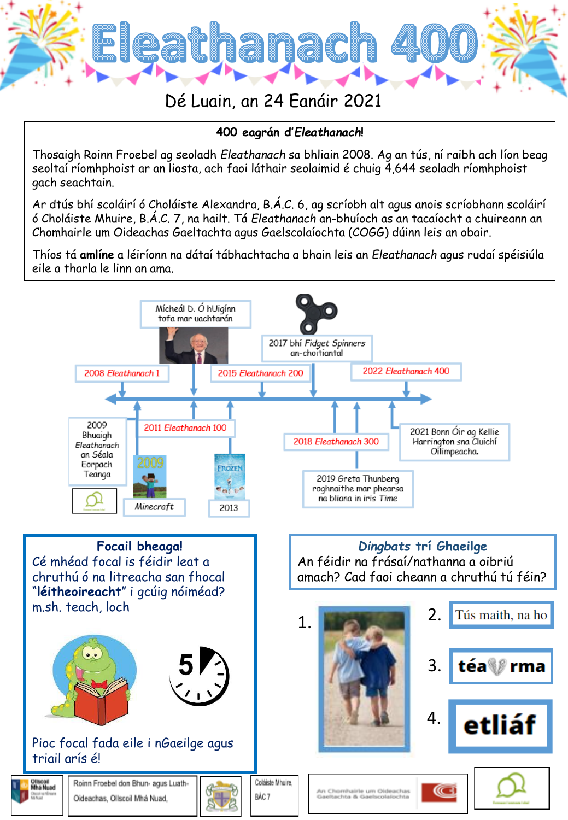

## **400 eagrán d'***Eleathanach***!**

Thosaigh Roinn Froebel ag seoladh *Eleathanach* sa bhliain 2008. Ag an tús, ní raibh ach líon beag seoltaí ríomhphoist ar an liosta, ach faoi láthair seolaimid é chuig 4,644 seoladh ríomhphoist gach seachtain.

Ar dtús bhí scoláirí ó Choláiste Alexandra, B.Á.C. 6, ag scríobh alt agus anois scríobhann scoláirí ó Choláiste Mhuire, B.Á.C. 7, na hailt. Tá *Eleathanach* an-bhuíoch as an tacaíocht a chuireann an Chomhairle um Oideachas Gaeltachta agus Gaelscolaíochta (COGG) dúinn leis an obair.

Thíos tá **amlíne** a léiríonn na dátaí tábhachtacha a bhain leis an *Eleathanach* agus rudaí spéisiúla eile a tharla le linn an ama.